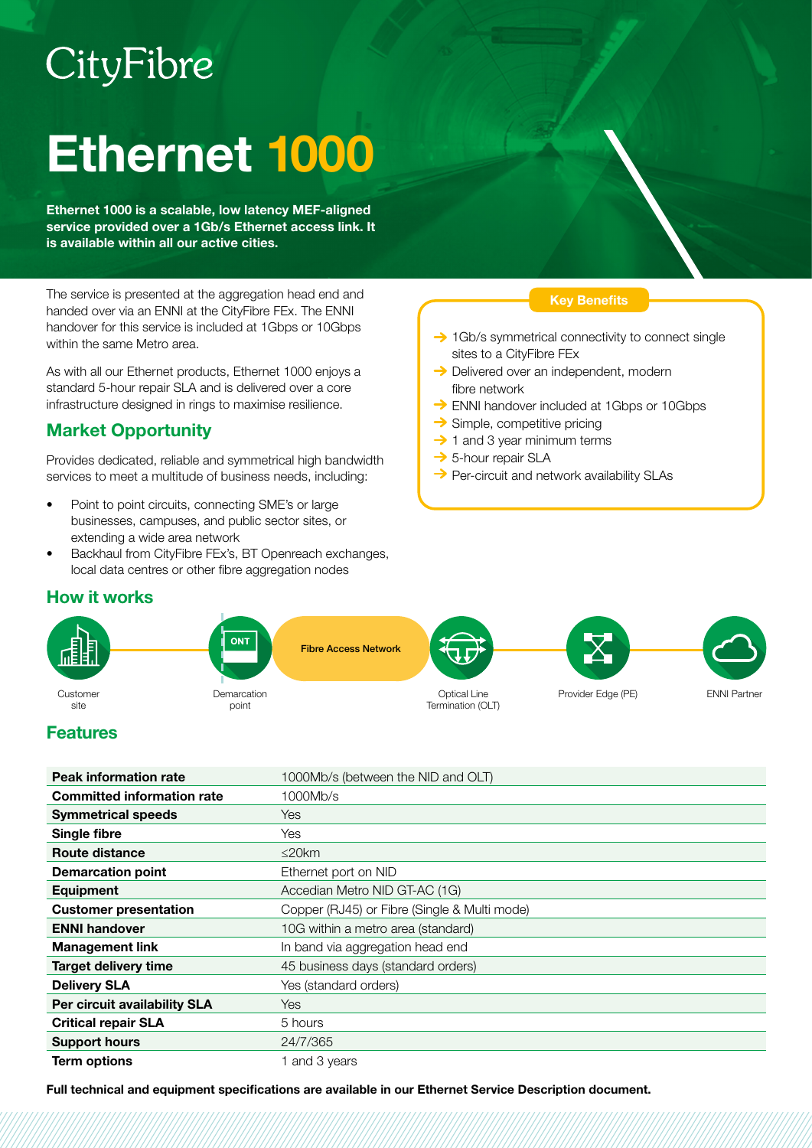# CityFibre

# Ethernet 1000

Ethernet 1000 is a scalable, low latency MEF-aligned service provided over a 1Gb/s Ethernet access link. It is available within all our active cities.

The service is presented at the aggregation head end and handed over via an ENNI at the CityFibre FEx. The ENNI handover for this service is included at 1Gbps or 10Gbps within the same Metro area.

As with all our Ethernet products, Ethernet 1000 enjoys a standard 5-hour repair SLA and is delivered over a core infrastructure designed in rings to maximise resilience.

# Market Opportunity

Provides dedicated, reliable and symmetrical high bandwidth services to meet a multitude of business needs, including:

- Point to point circuits, connecting SME's or large businesses, campuses, and public sector sites, or extending a wide area network
- Backhaul from CityFibre FEx's, BT Openreach exchanges, local data centres or other fibre aggregation nodes

#### Key Benefits

- $\rightarrow$  1Gb/s symmetrical connectivity to connect single sites to a CityFibre FEx
- **→** Delivered over an independent, modern fibre network
- $\rightarrow$  ENNI handover included at 1Gbps or 10Gbps
- $\rightarrow$  Simple, competitive pricing
- $\rightarrow$  1 and 3 year minimum terms
- **→ 5-hour repair SLA**
- $\rightarrow$  Per-circuit and network availability SLAs

### How it works



## Features

| <b>Peak information rate</b>      | 1000Mb/s (between the NID and OLT)           |
|-----------------------------------|----------------------------------------------|
| <b>Committed information rate</b> | 1000Mb/s                                     |
| <b>Symmetrical speeds</b>         | <b>Yes</b>                                   |
| Single fibre                      | Yes                                          |
| Route distance                    | $\leq$ 20 $km$                               |
| <b>Demarcation point</b>          | Ethernet port on NID                         |
| Equipment                         | Accedian Metro NID GT-AC (1G)                |
| <b>Customer presentation</b>      | Copper (RJ45) or Fibre (Single & Multi mode) |
| <b>ENNI handover</b>              | 10G within a metro area (standard)           |
| <b>Management link</b>            | In band via aggregation head end             |
| <b>Target delivery time</b>       | 45 business days (standard orders)           |
| <b>Delivery SLA</b>               | Yes (standard orders)                        |
| Per circuit availability SLA      | <b>Yes</b>                                   |
| <b>Critical repair SLA</b>        | 5 hours                                      |
| <b>Support hours</b>              | 24/7/365                                     |
| <b>Term options</b>               | 1 and 3 years                                |

Full technical and equipment specifications are available in our Ethernet Service Description document.